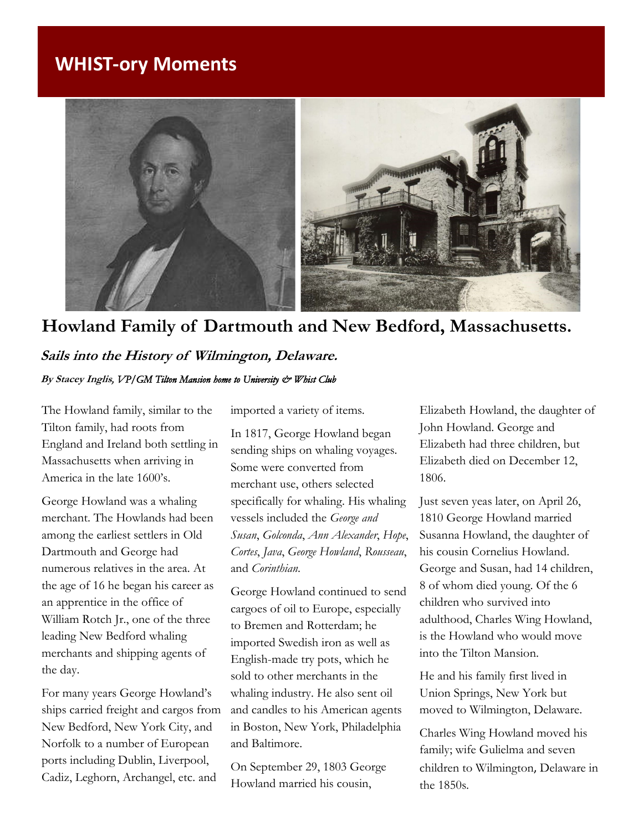## **WHIST-ory Moments**



## **Howland Family of Dartmouth and New Bedford, Massachusetts.**

## **Sails into the History of Wilmington, Delaware. By Stacey Inglis***, VP/GM Tilton Mansion home to University & Whist Club*

The Howland family, similar to the Tilton family, had roots from England and Ireland both settling in Massachusetts when arriving in America in the late 1600's.

George Howland was a whaling merchant. The Howlands had been among the earliest settlers in Old Dartmouth and George had numerous relatives in the area. At the age of 16 he began his career as an apprentice in the office of William Rotch Jr., one of the three leading New Bedford whaling merchants and shipping agents of the day.

For many years George Howland's ships carried freight and cargos from New Bedford, New York City, and Norfolk to a number of European ports including Dublin, Liverpool, Cadiz, Leghorn, Archangel, etc. and

imported a variety of items.

In 1817, George Howland began sending ships on whaling voyages. Some were converted from merchant use, others selected specifically for whaling. His whaling vessels included the *George and Susan*, *Golconda*, *Ann Alexander*, *Hope*, *Cortes*, *Java*, *George Howland*, *Rousseau*, and *Corinthian*.

George Howland continued to send cargoes of oil to Europe, especially to Bremen and Rotterdam; he imported Swedish iron as well as English-made try pots, which he sold to other merchants in the whaling industry. He also sent oil and candles to his American agents in Boston, New York, Philadelphia and Baltimore.

On September 29, 1803 George Howland married his cousin,

Elizabeth Howland, the daughter of John Howland. George and Elizabeth had three children, but Elizabeth died on December 12, 1806.

Just seven yeas later, on April 26, 1810 George Howland married Susanna Howland, the daughter of his cousin Cornelius Howland. George and Susan, had 14 children, 8 of whom died young. Of the 6 children who survived into adulthood, Charles Wing Howland, is the Howland who would move into the Tilton Mansion.

He and his family first lived in Union Springs, New York but moved to Wilmington, Delaware.

Charles Wing Howland moved his family; wife Gulielma and seven children to Wilmington, Delaware in the 1850s.